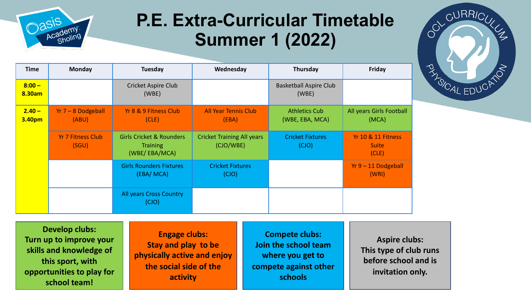

## **P.E. Extra-Curricular Timetable Summer 1 (2022)**

| <b>Time</b>        | <b>Monday</b>                     | Tuesday                                                                 | Wednesday                                      | Thursday                                | <b>Friday</b>                                          |
|--------------------|-----------------------------------|-------------------------------------------------------------------------|------------------------------------------------|-----------------------------------------|--------------------------------------------------------|
| $8:00 -$<br>8.30am |                                   | <b>Cricket Aspire Club</b><br>(WBE)                                     |                                                | <b>Basketball Aspire Club</b><br>(WBE)  |                                                        |
| $2.40 -$<br>3.40pm | $Yr$ 7 – 8 Dodgeball<br>(ABU)     | Yr 8 & 9 Fitness Club<br>(CLE)                                          | <b>All Year Tennis Club</b><br>(EBA)           | <b>Athletics Cub</b><br>(WBE, EBA, MCA) | All years Girls Football<br>(MCA)                      |
|                    | <b>Yr 7 Fitness Club</b><br>(SGU) | <b>Girls Cricket &amp; Rounders</b><br><b>Training</b><br>(WBE/EBA/MCA) | <b>Cricket Training All years</b><br>(CJO/WBE) | <b>Cricket Fixtures</b><br>(CJO)        | <b>Yr 10 &amp; 11 Fitness</b><br><b>Suite</b><br>(CLE) |
|                    |                                   | <b>Girls Rounders Fixtures</b><br>(EBA/ MCA)                            | <b>Cricket Fixtures</b><br>(CJO)               |                                         | $Yr$ 9 – 11 Dodgeball<br>(WRI)                         |
|                    |                                   | All years Cross Country<br>(CJO)                                        |                                                |                                         |                                                        |

**Develop clubs: Turn up to improve your skills and knowledge of this sport, with opportunities to play for school team!**

**Engage clubs: Stay and play to be physically active and enjoy the social side of the activity**

**Compete clubs: Join the school team where you get to compete against other schools**

**Aspire clubs: This type of club runs before school and is invitation only.** 

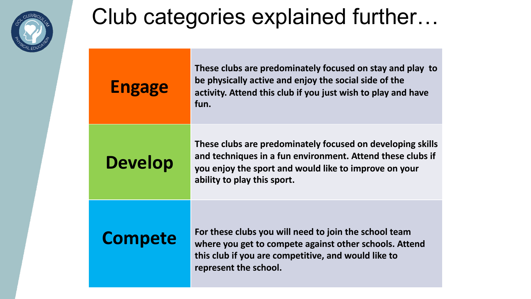

## Club categories explained further…

| <b>Engage</b>  | These clubs are predominately focused on stay and play to<br>be physically active and enjoy the social side of the<br>activity. Attend this club if you just wish to play and have<br>fun.                       |
|----------------|------------------------------------------------------------------------------------------------------------------------------------------------------------------------------------------------------------------|
| <b>Develop</b> | These clubs are predominately focused on developing skills<br>and techniques in a fun environment. Attend these clubs if<br>you enjoy the sport and would like to improve on your<br>ability to play this sport. |
| <b>Compete</b> | For these clubs you will need to join the school team<br>where you get to compete against other schools. Attend<br>this club if you are competitive, and would like to<br>represent the school.                  |